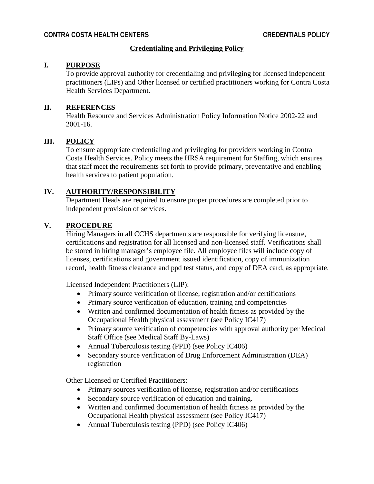# **Credentialing and Privileging Policy**

### **I. PURPOSE**

To provide approval authority for credentialing and privileging for licensed independent practitioners (LIPs) and Other licensed or certified practitioners working for Contra Costa Health Services Department.

#### **II. REFERENCES**

Health Resource and Services Administration Policy Information Notice 2002-22 and 2001-16.

# **III. POLICY**

To ensure appropriate credentialing and privileging for providers working in Contra Costa Health Services. Policy meets the HRSA requirement for Staffing, which ensures that staff meet the requirements set forth to provide primary, preventative and enabling health services to patient population.

### **IV. AUTHORITY/RESPONSIBILITY**

Department Heads are required to ensure proper procedures are completed prior to independent provision of services.

# **V. PROCEDURE**

Hiring Managers in all CCHS departments are responsible for verifying licensure, certifications and registration for all licensed and non-licensed staff. Verifications shall be stored in hiring manager's employee file. All employee files will include copy of licenses, certifications and government issued identification, copy of immunization record, health fitness clearance and ppd test status, and copy of DEA card, as appropriate.

Licensed Independent Practitioners (LIP):

- Primary source verification of license, registration and/or certifications
- Primary source verification of education, training and competencies
- Written and confirmed documentation of health fitness as provided by the Occupational Health physical assessment (see Policy IC417)
- Primary source verification of competencies with approval authority per Medical Staff Office (see Medical Staff By-Laws)
- Annual Tuberculosis testing (PPD) (see Policy IC406)
- Secondary source verification of Drug Enforcement Administration (DEA) registration

Other Licensed or Certified Practitioners:

- Primary sources verification of license, registration and/or certifications
- Secondary source verification of education and training.
- Written and confirmed documentation of health fitness as provided by the Occupational Health physical assessment (see Policy IC417)
- Annual Tuberculosis testing (PPD) (see Policy IC406)